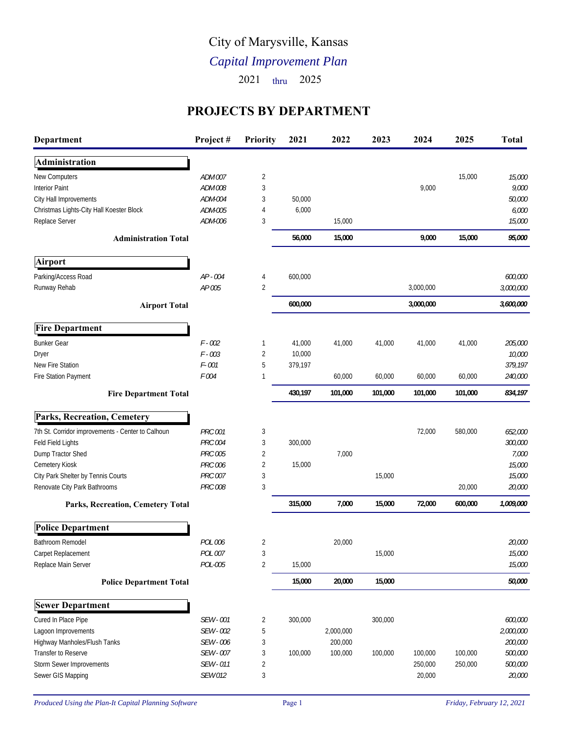## City of Marysville, Kansas

## *Capital Improvement Plan*

2021 thru 2025

## **PROJECTS BY DEPARTMENT**

| Department                                        | Project#       | <b>Priority</b> | 2021    | 2022      | 2023    | 2024      | 2025    | <b>Total</b> |
|---------------------------------------------------|----------------|-----------------|---------|-----------|---------|-----------|---------|--------------|
| Administration                                    |                |                 |         |           |         |           |         |              |
| New Computers                                     | ADM 007        | 2               |         |           |         |           | 15,000  | 15,000       |
| <b>Interior Paint</b>                             | ADM 008        | 3               |         |           |         | 9,000     |         | 9,000        |
| City Hall Improvements                            | ADM-004        | 3               | 50,000  |           |         |           |         | 50,000       |
| Christmas Lights-City Hall Koester Block          | ADM-005        | 4               | 6,000   |           |         |           |         | 6,000        |
| Replace Server                                    | ADM-006        | 3               |         | 15,000    |         |           |         | 15,000       |
| <b>Administration Total</b>                       |                |                 | 56,000  | 15,000    |         | 9,000     | 15,000  | 95,000       |
| Airport                                           |                |                 |         |           |         |           |         |              |
| Parking/Access Road                               | AP - 004       | 4               | 600,000 |           |         |           |         | 600,000      |
| Runway Rehab                                      | AP 005         | $\overline{2}$  |         |           |         | 3,000,000 |         | 3,000,000    |
| <b>Airport Total</b>                              |                |                 | 600,000 |           |         | 3,000,000 |         | 3,600,000    |
| <b>Fire Department</b>                            |                |                 |         |           |         |           |         |              |
| <b>Bunker Gear</b>                                | $F - 002$      | 1               | 41,000  | 41,000    | 41,000  | 41,000    | 41,000  | 205,000      |
| Dryer                                             | $F - 003$      | $\overline{2}$  | 10,000  |           |         |           |         | 10,000       |
| New Fire Station                                  | F-001          | 5               | 379,197 |           |         |           |         | 379,197      |
| Fire Station Payment                              | F 004          |                 |         | 60,000    | 60,000  | 60,000    | 60,000  | 240,000      |
| <b>Fire Department Total</b>                      |                |                 | 430,197 | 101,000   | 101,000 | 101,000   | 101,000 | 834,197      |
| <b>Parks, Recreation, Cemetery</b>                |                |                 |         |           |         |           |         |              |
| 7th St. Corridor improvements - Center to Calhoun | <b>PRC 001</b> | 3               |         |           |         | 72,000    | 580,000 | 652,000      |
| Feld Field Lights                                 | <b>PRC 004</b> | 3               | 300,000 |           |         |           |         | 300,000      |
| Dump Tractor Shed                                 | <b>PRC 005</b> | $\overline{2}$  |         | 7,000     |         |           |         | 7,000        |
| Cemetery Kiosk                                    | PRC 006        | $\overline{2}$  | 15,000  |           |         |           |         | 15,000       |
| City Park Shelter by Tennis Courts                | PRC 007        | 3               |         |           | 15,000  |           |         | 15,000       |
| Renovate City Park Bathrooms                      | <b>PRC 008</b> | 3               |         |           |         |           | 20,000  | 20,000       |
| Parks, Recreation, Cemetery Total                 |                |                 | 315,000 | 7,000     | 15,000  | 72,000    | 600,000 | 1,009,000    |
| <b>Police Department</b>                          |                |                 |         |           |         |           |         |              |
| Bathroom Remodel                                  | <b>POL 006</b> | 2               |         | 20,000    |         |           |         | 20,000       |
| Carpet Replacement                                | POL 007        | 3               |         |           | 15,000  |           |         | 15,000       |
| Replace Main Server                               | POL-005        | $\overline{2}$  | 15,000  |           |         |           |         | 15,000       |
| <b>Police Department Total</b>                    |                |                 | 15,000  | 20,000    | 15,000  |           |         | 50,000       |
| <b>Sewer Department</b>                           |                |                 |         |           |         |           |         |              |
| Cured In Place Pipe                               | SEW - 001      | $\overline{c}$  | 300,000 |           | 300,000 |           |         | 600,000      |
| Lagoon Improvements                               | SEW - 002      | 5               |         | 2,000,000 |         |           |         | 2,000,000    |
| Highway Manholes/Flush Tanks                      | SEW - 006      | 3               |         | 200,000   |         |           |         | 200,000      |
| Transfer to Reserve                               | SEW - 007      | 3               | 100,000 | 100,000   | 100,000 | 100,000   | 100,000 | 500,000      |
| Storm Sewer Improvements                          | SEW - 011      | $\overline{c}$  |         |           |         | 250,000   | 250,000 | 500,000      |
| Sewer GIS Mapping                                 | SEW 012        | 3               |         |           |         | 20,000    |         | 20,000       |